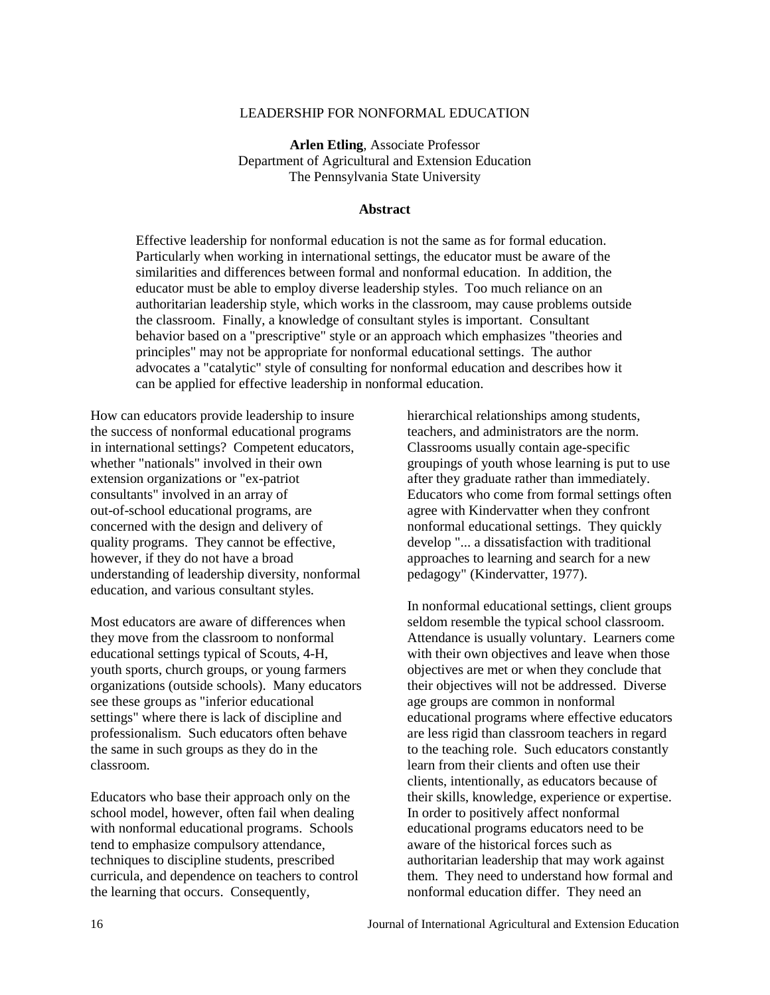#### LEADERSHIP FOR NONFORMAL EDUCATION

 **Arlen Etling**, Associate Professor Department of Agricultural and Extension Education The Pennsylvania State University

#### **Abstract**

 Effective leadership for nonformal education is not the same as for formal education. Particularly when working in international settings, the educator must be aware of the similarities and differences between formal and nonformal education. In addition, the educator must be able to employ diverse leadership styles. Too much reliance on an authoritarian leadership style, which works in the classroom, may cause problems outside the classroom. Finally, a knowledge of consultant styles is important. Consultant behavior based on a "prescriptive" style or an approach which emphasizes "theories and principles" may not be appropriate for nonformal educational settings. The author advocates a "catalytic" style of consulting for nonformal education and describes how it can be applied for effective leadership in nonformal education.

How can educators provide leadership to insure the success of nonformal educational programs in international settings? Competent educators, whether "nationals" involved in their own extension organizations or "ex-patriot consultants" involved in an array of out-of-school educational programs, are concerned with the design and delivery of quality programs. They cannot be effective, however, if they do not have a broad understanding of leadership diversity, nonformal education, and various consultant styles.

Most educators are aware of differences when they move from the classroom to nonformal educational settings typical of Scouts, 4-H, youth sports, church groups, or young farmers organizations (outside schools). Many educators see these groups as "inferior educational settings" where there is lack of discipline and professionalism. Such educators often behave the same in such groups as they do in the classroom.

Educators who base their approach only on the school model, however, often fail when dealing with nonformal educational programs. Schools tend to emphasize compulsory attendance, techniques to discipline students, prescribed curricula, and dependence on teachers to control the learning that occurs. Consequently,

hierarchical relationships among students, teachers, and administrators are the norm. Classrooms usually contain age-specific groupings of youth whose learning is put to use after they graduate rather than immediately. Educators who come from formal settings often agree with Kindervatter when they confront nonformal educational settings. They quickly develop "... a dissatisfaction with traditional approaches to learning and search for a new pedagogy" (Kindervatter, 1977).

In nonformal educational settings, client groups seldom resemble the typical school classroom. Attendance is usually voluntary. Learners come with their own objectives and leave when those objectives are met or when they conclude that their objectives will not be addressed. Diverse age groups are common in nonformal educational programs where effective educators are less rigid than classroom teachers in regard to the teaching role. Such educators constantly learn from their clients and often use their clients, intentionally, as educators because of their skills, knowledge, experience or expertise. In order to positively affect nonformal educational programs educators need to be aware of the historical forces such as authoritarian leadership that may work against them. They need to understand how formal and nonformal education differ. They need an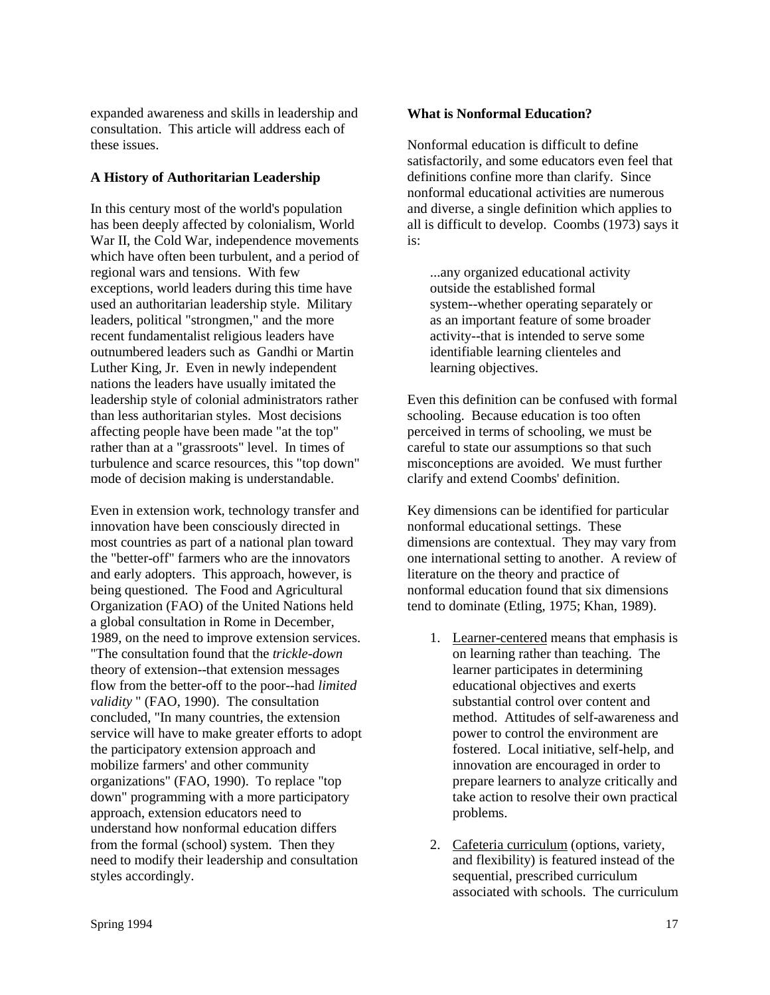expanded awareness and skills in leadership and consultation. This article will address each of these issues.

### **A History of Authoritarian Leadership**

In this century most of the world's population has been deeply affected by colonialism, World War II, the Cold War, independence movements which have often been turbulent, and a period of regional wars and tensions. With few exceptions, world leaders during this time have used an authoritarian leadership style. Military leaders, political "strongmen," and the more recent fundamentalist religious leaders have outnumbered leaders such as Gandhi or Martin Luther King, Jr. Even in newly independent nations the leaders have usually imitated the leadership style of colonial administrators rather than less authoritarian styles. Most decisions affecting people have been made "at the top" rather than at a "grassroots" level. In times of turbulence and scarce resources, this "top down" mode of decision making is understandable.

Even in extension work, technology transfer and innovation have been consciously directed in most countries as part of a national plan toward the "better-off" farmers who are the innovators and early adopters. This approach, however, is being questioned. The Food and Agricultural Organization (FAO) of the United Nations held a global consultation in Rome in December, 1989, on the need to improve extension services. "The consultation found that the *trickle-down* theory of extension--that extension messages flow from the better-off to the poor--had *limited validity* " (FAO, 1990). The consultation concluded, "In many countries, the extension service will have to make greater efforts to adopt the participatory extension approach and mobilize farmers' and other community organizations" (FAO, 1990). To replace "top down" programming with a more participatory approach, extension educators need to understand how nonformal education differs from the formal (school) system. Then they need to modify their leadership and consultation styles accordingly.

## **What is Nonformal Education?**

Nonformal education is difficult to define satisfactorily, and some educators even feel that definitions confine more than clarify. Since nonformal educational activities are numerous and diverse, a single definition which applies to all is difficult to develop. Coombs (1973) says it is:

 ...any organized educational activity outside the established formal system--whether operating separately or as an important feature of some broader activity--that is intended to serve some identifiable learning clienteles and learning objectives.

Even this definition can be confused with formal schooling. Because education is too often perceived in terms of schooling, we must be careful to state our assumptions so that such misconceptions are avoided. We must further clarify and extend Coombs' definition.

Key dimensions can be identified for particular nonformal educational settings. These dimensions are contextual. They may vary from one international setting to another. A review of literature on the theory and practice of nonformal education found that six dimensions tend to dominate (Etling, 1975; Khan, 1989).

- 1. Learner-centered means that emphasis is on learning rather than teaching. The learner participates in determining educational objectives and exerts substantial control over content and method. Attitudes of self-awareness and power to control the environment are fostered. Local initiative, self-help, and innovation are encouraged in order to prepare learners to analyze critically and take action to resolve their own practical problems.
- 2. Cafeteria curriculum (options, variety, and flexibility) is featured instead of the sequential, prescribed curriculum associated with schools. The curriculum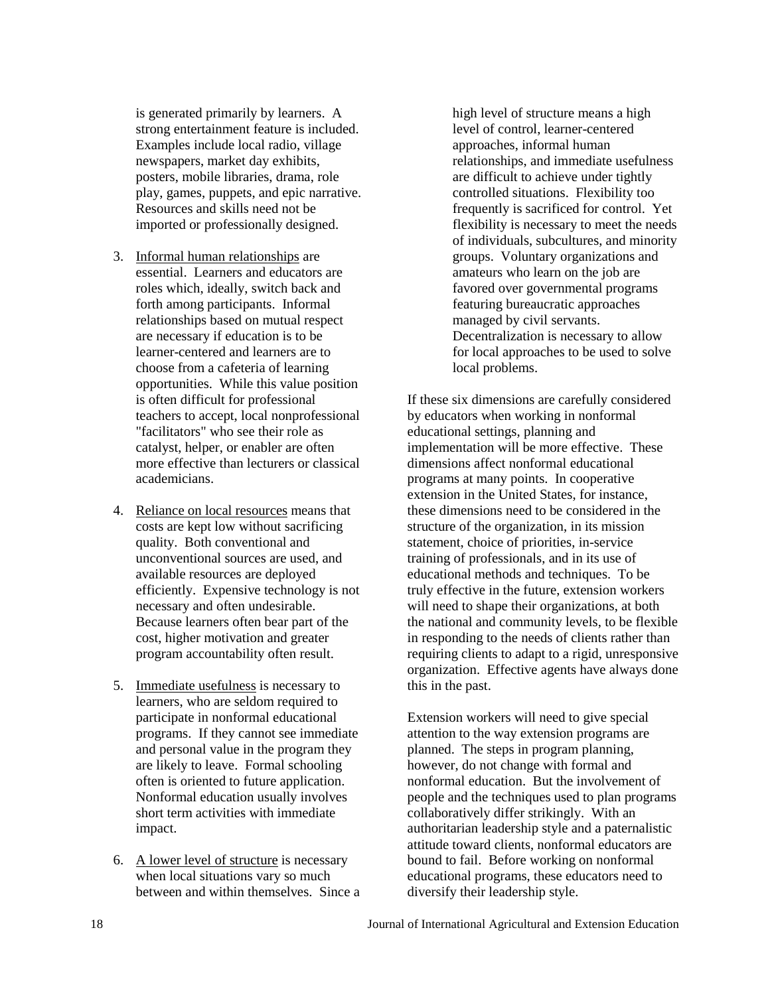is generated primarily by learners. A strong entertainment feature is included. Examples include local radio, village newspapers, market day exhibits, posters, mobile libraries, drama, role play, games, puppets, and epic narrative. Resources and skills need not be imported or professionally designed.

- 3. Informal human relationships are essential. Learners and educators are roles which, ideally, switch back and forth among participants. Informal relationships based on mutual respect are necessary if education is to be learner-centered and learners are to choose from a cafeteria of learning opportunities. While this value position is often difficult for professional teachers to accept, local nonprofessional "facilitators" who see their role as catalyst, helper, or enabler are often more effective than lecturers or classical academicians.
- 4. Reliance on local resources means that costs are kept low without sacrificing quality. Both conventional and unconventional sources are used, and available resources are deployed efficiently. Expensive technology is not necessary and often undesirable. Because learners often bear part of the cost, higher motivation and greater program accountability often result.
- 5. Immediate usefulness is necessary to learners, who are seldom required to participate in nonformal educational programs. If they cannot see immediate and personal value in the program they are likely to leave. Formal schooling often is oriented to future application. Nonformal education usually involves short term activities with immediate impact.
- 6. A lower level of structure is necessary when local situations vary so much between and within themselves. Since a

high level of structure means a high level of control, learner-centered approaches, informal human relationships, and immediate usefulness are difficult to achieve under tightly controlled situations. Flexibility too frequently is sacrificed for control. Yet flexibility is necessary to meet the needs of individuals, subcultures, and minority groups. Voluntary organizations and amateurs who learn on the job are favored over governmental programs featuring bureaucratic approaches managed by civil servants. Decentralization is necessary to allow for local approaches to be used to solve local problems.

If these six dimensions are carefully considered by educators when working in nonformal educational settings, planning and implementation will be more effective. These dimensions affect nonformal educational programs at many points. In cooperative extension in the United States, for instance, these dimensions need to be considered in the structure of the organization, in its mission statement, choice of priorities, in-service training of professionals, and in its use of educational methods and techniques. To be truly effective in the future, extension workers will need to shape their organizations, at both the national and community levels, to be flexible in responding to the needs of clients rather than requiring clients to adapt to a rigid, unresponsive organization. Effective agents have always done this in the past.

Extension workers will need to give special attention to the way extension programs are planned. The steps in program planning, however, do not change with formal and nonformal education. But the involvement of people and the techniques used to plan programs collaboratively differ strikingly. With an authoritarian leadership style and a paternalistic attitude toward clients, nonformal educators are bound to fail. Before working on nonformal educational programs, these educators need to diversify their leadership style.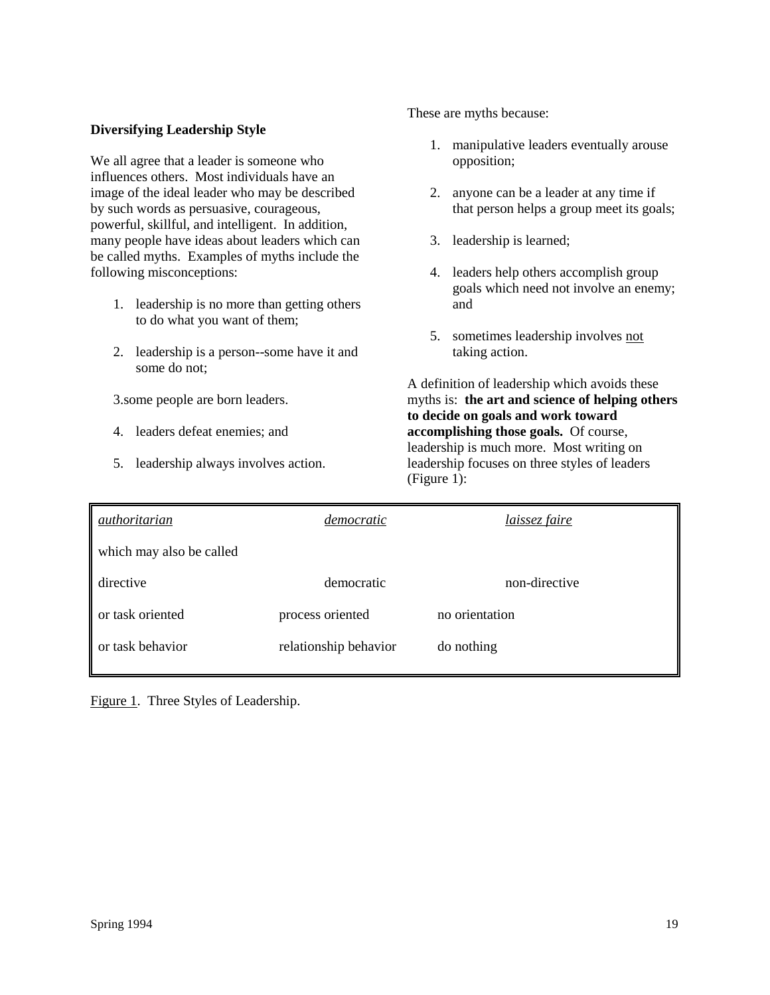### **Diversifying Leadership Style**

We all agree that a leader is someone who influences others. Most individuals have an image of the ideal leader who may be described by such words as persuasive, courageous, powerful, skillful, and intelligent. In addition, many people have ideas about leaders which can be called myths. Examples of myths include the following misconceptions:

- 1. leadership is no more than getting others to do what you want of them;
- 2. leadership is a person--some have it and some do not;

3.some people are born leaders.

- 4. leaders defeat enemies; and
- 5. leadership always involves action.

These are myths because:

- 1. manipulative leaders eventually arouse opposition;
- 2. anyone can be a leader at any time if that person helps a group meet its goals;
- 3. leadership is learned;
- 4. leaders help others accomplish group goals which need not involve an enemy; and
- 5. sometimes leadership involves not taking action.

A definition of leadership which avoids these myths is: **the art and science of helping others to decide on goals and work toward accomplishing those goals.** Of course, leadership is much more. Most writing on leadership focuses on three styles of leaders (Figure 1):

| democratic                         | <i>laissez faire</i> |  |
|------------------------------------|----------------------|--|
|                                    |                      |  |
| democratic                         | non-directive        |  |
| process oriented<br>no orientation |                      |  |
| relationship behavior              | do nothing           |  |
|                                    |                      |  |

Figure 1. Three Styles of Leadership.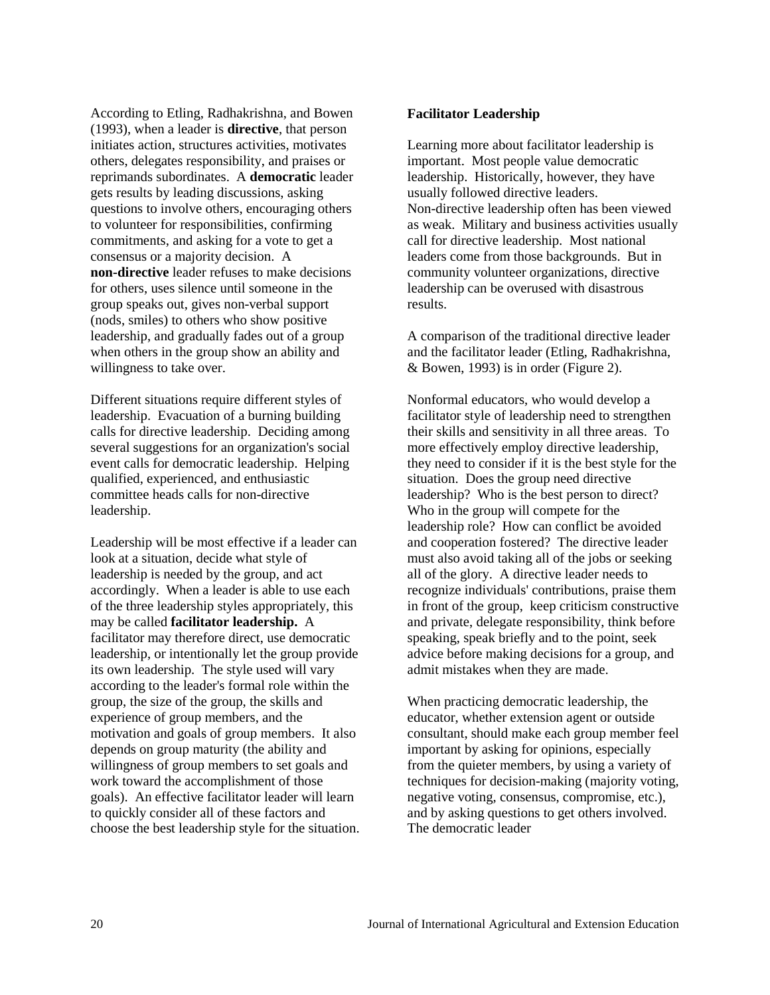According to Etling, Radhakrishna, and Bowen (1993), when a leader is **directive**, that person initiates action, structures activities, motivates others, delegates responsibility, and praises or reprimands subordinates. A **democratic** leader gets results by leading discussions, asking questions to involve others, encouraging others to volunteer for responsibilities, confirming commitments, and asking for a vote to get a consensus or a majority decision. A **non-directive** leader refuses to make decisions for others, uses silence until someone in the group speaks out, gives non-verbal support (nods, smiles) to others who show positive leadership, and gradually fades out of a group when others in the group show an ability and willingness to take over.

Different situations require different styles of leadership. Evacuation of a burning building calls for directive leadership. Deciding among several suggestions for an organization's social event calls for democratic leadership. Helping qualified, experienced, and enthusiastic committee heads calls for non-directive leadership.

Leadership will be most effective if a leader can look at a situation, decide what style of leadership is needed by the group, and act accordingly. When a leader is able to use each of the three leadership styles appropriately, this may be called **facilitator leadership.** A facilitator may therefore direct, use democratic leadership, or intentionally let the group provide its own leadership. The style used will vary according to the leader's formal role within the group, the size of the group, the skills and experience of group members, and the motivation and goals of group members. It also depends on group maturity (the ability and willingness of group members to set goals and work toward the accomplishment of those goals). An effective facilitator leader will learn to quickly consider all of these factors and choose the best leadership style for the situation.

#### **Facilitator Leadership**

Learning more about facilitator leadership is important. Most people value democratic leadership. Historically, however, they have usually followed directive leaders. Non-directive leadership often has been viewed as weak. Military and business activities usually call for directive leadership. Most national leaders come from those backgrounds. But in community volunteer organizations, directive leadership can be overused with disastrous results.

A comparison of the traditional directive leader and the facilitator leader (Etling, Radhakrishna, & Bowen, 1993) is in order (Figure 2).

Nonformal educators, who would develop a facilitator style of leadership need to strengthen their skills and sensitivity in all three areas. To more effectively employ directive leadership, they need to consider if it is the best style for the situation. Does the group need directive leadership? Who is the best person to direct? Who in the group will compete for the leadership role? How can conflict be avoided and cooperation fostered? The directive leader must also avoid taking all of the jobs or seeking all of the glory. A directive leader needs to recognize individuals' contributions, praise them in front of the group, keep criticism constructive and private, delegate responsibility, think before speaking, speak briefly and to the point, seek advice before making decisions for a group, and admit mistakes when they are made.

When practicing democratic leadership, the educator, whether extension agent or outside consultant, should make each group member feel important by asking for opinions, especially from the quieter members, by using a variety of techniques for decision-making (majority voting, negative voting, consensus, compromise, etc.), and by asking questions to get others involved. The democratic leader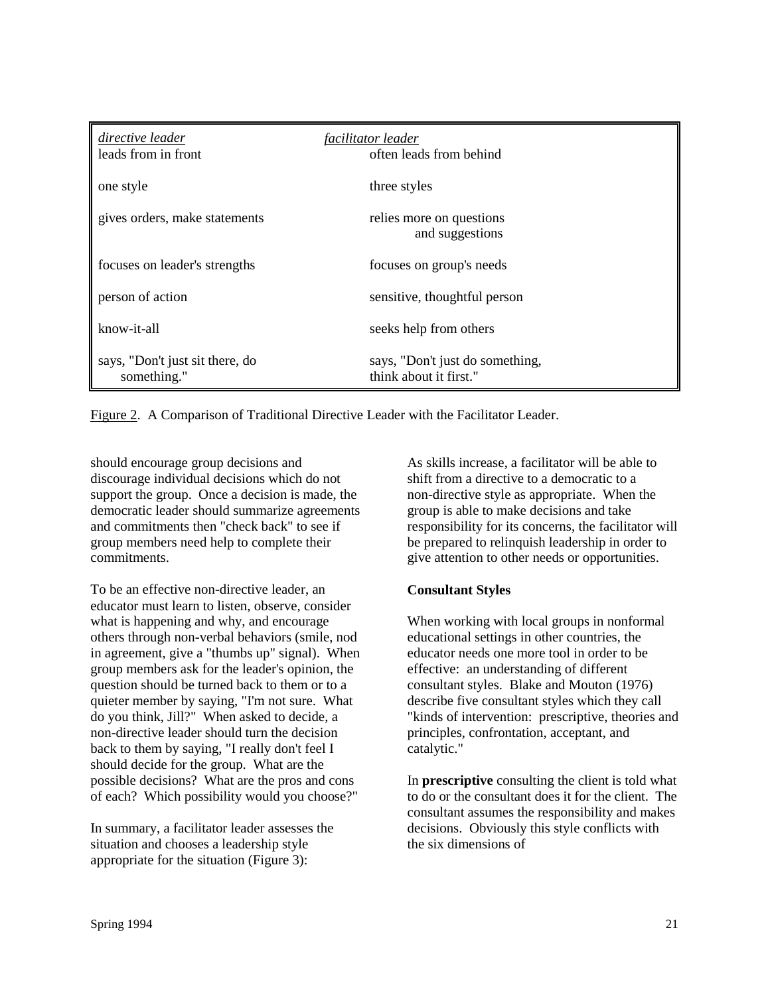| directive leader                               | facilitator leader                                        |
|------------------------------------------------|-----------------------------------------------------------|
| leads from in front                            | often leads from behind                                   |
| one style                                      | three styles                                              |
| gives orders, make statements                  | relies more on questions<br>and suggestions               |
| focuses on leader's strengths                  | focuses on group's needs                                  |
| person of action                               | sensitive, thoughtful person                              |
| know-it-all                                    | seeks help from others                                    |
| says, "Don't just sit there, do<br>something." | says, "Don't just do something,<br>think about it first." |

Figure 2. A Comparison of Traditional Directive Leader with the Facilitator Leader.

should encourage group decisions and discourage individual decisions which do not support the group. Once a decision is made, the democratic leader should summarize agreements and commitments then "check back" to see if group members need help to complete their commitments.

To be an effective non-directive leader, an educator must learn to listen, observe, consider what is happening and why, and encourage others through non-verbal behaviors (smile, nod in agreement, give a "thumbs up" signal). When group members ask for the leader's opinion, the question should be turned back to them or to a quieter member by saying, "I'm not sure. What do you think, Jill?" When asked to decide, a non-directive leader should turn the decision back to them by saying, "I really don't feel I should decide for the group. What are the possible decisions? What are the pros and cons of each? Which possibility would you choose?"

In summary, a facilitator leader assesses the situation and chooses a leadership style appropriate for the situation (Figure 3):

As skills increase, a facilitator will be able to shift from a directive to a democratic to a non-directive style as appropriate. When the group is able to make decisions and take responsibility for its concerns, the facilitator will be prepared to relinquish leadership in order to give attention to other needs or opportunities.

# **Consultant Styles**

When working with local groups in nonformal educational settings in other countries, the educator needs one more tool in order to be effective: an understanding of different consultant styles. Blake and Mouton (1976) describe five consultant styles which they call "kinds of intervention: prescriptive, theories and principles, confrontation, acceptant, and catalytic."

In **prescriptive** consulting the client is told what to do or the consultant does it for the client. The consultant assumes the responsibility and makes decisions. Obviously this style conflicts with the six dimensions of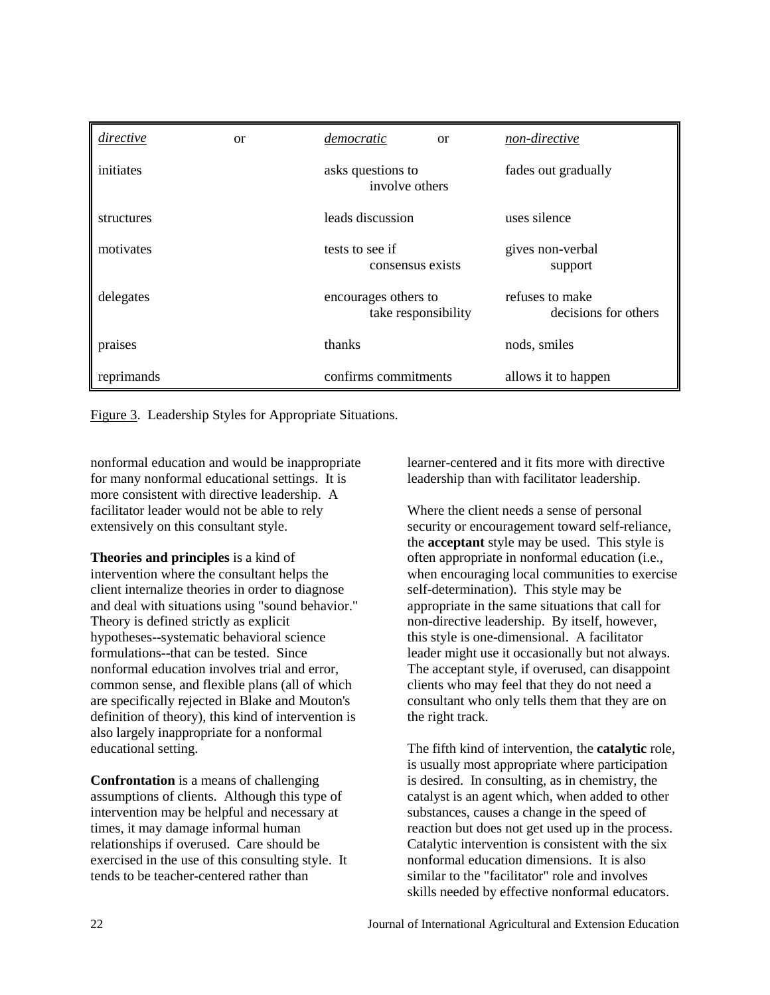| directive  | <b>or</b> | democratic<br><sub>or</sub>                 | non-directive                           |
|------------|-----------|---------------------------------------------|-----------------------------------------|
| initiates  |           | asks questions to<br>involve others         | fades out gradually                     |
| structures |           | leads discussion                            | uses silence                            |
| motivates  |           | tests to see if<br>consensus exists         | gives non-verbal<br>support             |
| delegates  |           | encourages others to<br>take responsibility | refuses to make<br>decisions for others |
| praises    |           | thanks                                      | nods, smiles                            |
| reprimands |           | confirms commitments                        | allows it to happen                     |

Figure 3. Leadership Styles for Appropriate Situations.

nonformal education and would be inappropriate for many nonformal educational settings. It is more consistent with directive leadership. A facilitator leader would not be able to rely extensively on this consultant style.

**Theories and principles** is a kind of intervention where the consultant helps the client internalize theories in order to diagnose and deal with situations using "sound behavior." Theory is defined strictly as explicit hypotheses--systematic behavioral science formulations--that can be tested. Since nonformal education involves trial and error, common sense, and flexible plans (all of which are specifically rejected in Blake and Mouton's definition of theory), this kind of intervention is also largely inappropriate for a nonformal educational setting.

**Confrontation** is a means of challenging assumptions of clients. Although this type of intervention may be helpful and necessary at times, it may damage informal human relationships if overused. Care should be exercised in the use of this consulting style. It tends to be teacher-centered rather than

learner-centered and it fits more with directive leadership than with facilitator leadership.

Where the client needs a sense of personal security or encouragement toward self-reliance, the **acceptant** style may be used. This style is often appropriate in nonformal education (i.e., when encouraging local communities to exercise self-determination). This style may be appropriate in the same situations that call for non-directive leadership. By itself, however, this style is one-dimensional. A facilitator leader might use it occasionally but not always. The acceptant style, if overused, can disappoint clients who may feel that they do not need a consultant who only tells them that they are on the right track.

The fifth kind of intervention, the **catalytic** role, is usually most appropriate where participation is desired. In consulting, as in chemistry, the catalyst is an agent which, when added to other substances, causes a change in the speed of reaction but does not get used up in the process. Catalytic intervention is consistent with the six nonformal education dimensions. It is also similar to the "facilitator" role and involves skills needed by effective nonformal educators.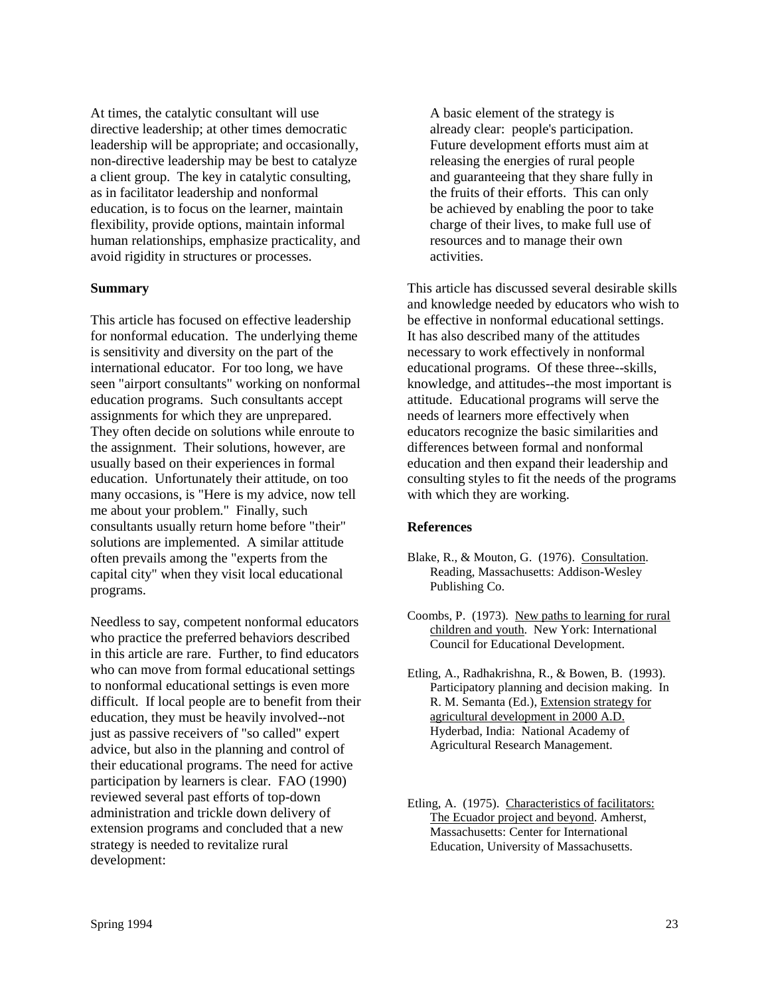At times, the catalytic consultant will use directive leadership; at other times democratic leadership will be appropriate; and occasionally, non-directive leadership may be best to catalyze a client group. The key in catalytic consulting, as in facilitator leadership and nonformal education, is to focus on the learner, maintain flexibility, provide options, maintain informal human relationships, emphasize practicality, and avoid rigidity in structures or processes.

#### **Summary**

This article has focused on effective leadership for nonformal education. The underlying theme is sensitivity and diversity on the part of the international educator. For too long, we have seen "airport consultants" working on nonformal education programs. Such consultants accept assignments for which they are unprepared. They often decide on solutions while enroute to the assignment. Their solutions, however, are usually based on their experiences in formal education. Unfortunately their attitude, on too many occasions, is "Here is my advice, now tell me about your problem." Finally, such consultants usually return home before "their" solutions are implemented. A similar attitude often prevails among the "experts from the capital city" when they visit local educational programs.

Needless to say, competent nonformal educators who practice the preferred behaviors described in this article are rare. Further, to find educators who can move from formal educational settings to nonformal educational settings is even more difficult. If local people are to benefit from their education, they must be heavily involved--not just as passive receivers of "so called" expert advice, but also in the planning and control of their educational programs. The need for active participation by learners is clear. FAO (1990) reviewed several past efforts of top-down administration and trickle down delivery of extension programs and concluded that a new strategy is needed to revitalize rural development:

 A basic element of the strategy is already clear: people's participation. Future development efforts must aim at releasing the energies of rural people and guaranteeing that they share fully in the fruits of their efforts. This can only be achieved by enabling the poor to take charge of their lives, to make full use of resources and to manage their own activities.

This article has discussed several desirable skills and knowledge needed by educators who wish to be effective in nonformal educational settings. It has also described many of the attitudes necessary to work effectively in nonformal educational programs. Of these three--skills, knowledge, and attitudes--the most important is attitude. Educational programs will serve the needs of learners more effectively when educators recognize the basic similarities and differences between formal and nonformal education and then expand their leadership and consulting styles to fit the needs of the programs with which they are working.

### **References**

- Blake, R., & Mouton, G. (1976). Consultation. Reading, Massachusetts: Addison-Wesley Publishing Co.
- Coombs, P. (1973). New paths to learning for rural children and youth. New York: International Council for Educational Development.
- Etling, A., Radhakrishna, R., & Bowen, B. (1993). Participatory planning and decision making. In R. M. Semanta (Ed.), Extension strategy for agricultural development in 2000 A.D. Hyderbad, India: National Academy of Agricultural Research Management.
- Etling, A. (1975). Characteristics of facilitators: The Ecuador project and beyond. Amherst, Massachusetts: Center for International Education, University of Massachusetts.